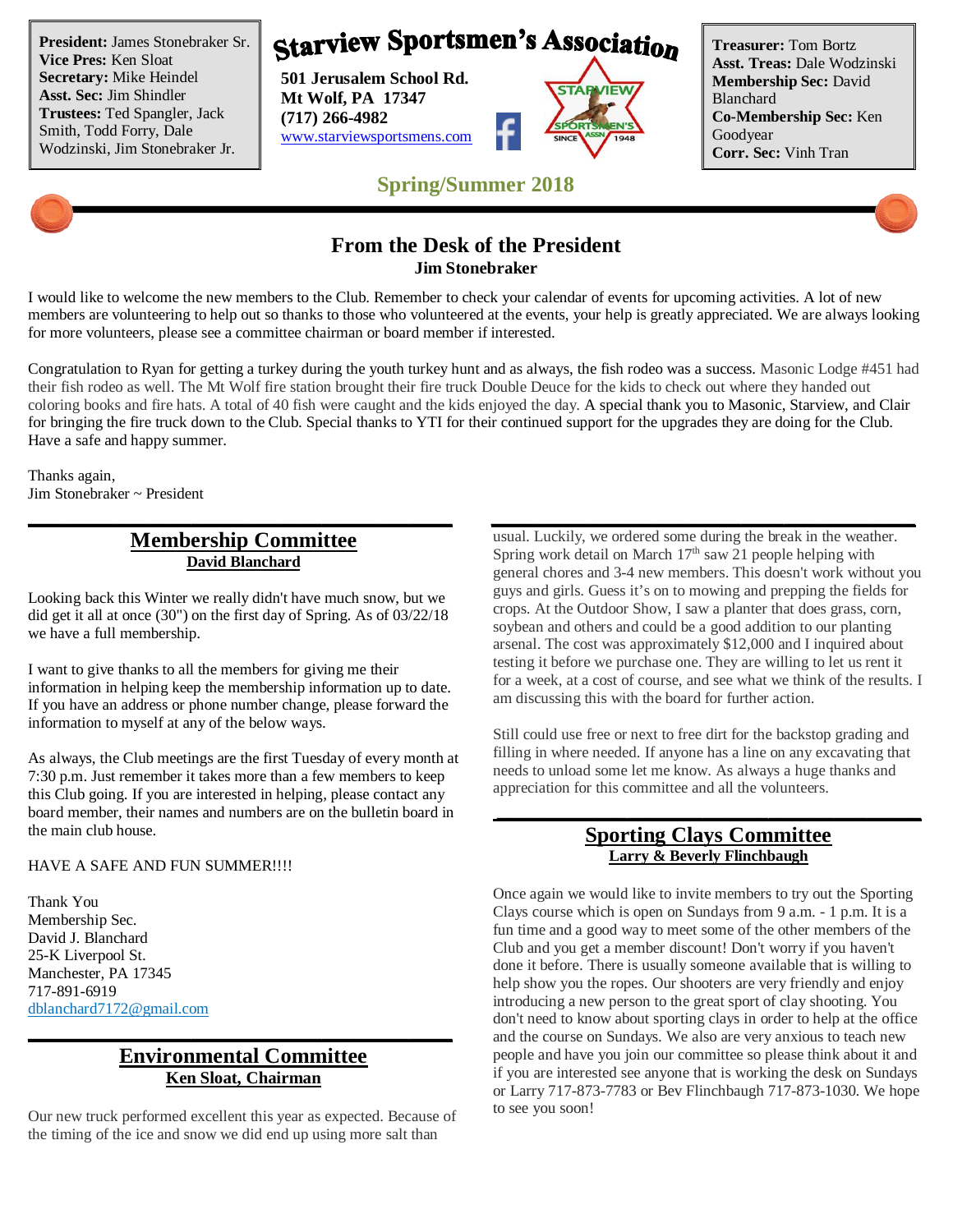**President:** James Stonebraker Sr. **Vice Pres:** Ken Sloat **Secretary:** Mike Heindel **Asst. Sec:** Jim Shindler **Trustees:** Ted Spangler, Jack Smith, Todd Forry, Dale Wodzinski, Jim Stonebraker Jr.

# **Starview Sportsmen's Association**

**501 Jerusalem School Rd. Mt Wolf, PA 17347 (717) 266-4982** www.starviewsportsmens.com



**Treasurer:** Tom Bortz **Asst. Treas:** Dale Wodzinski **Membership Sec:** David Blanchard **Co-Membership Sec:** Ken Goodyear **Corr. Sec:** Vinh Tran

## **Spring/Summer 2018**

## **From the Desk of the President Jim Stonebraker**

I would like to welcome the new members to the Club. Remember to check your calendar of events for upcoming activities. A lot of new members are volunteering to help out so thanks to those who volunteered at the events, your help is greatly appreciated. We are always looking for more volunteers, please see a committee chairman or board member if interested.

Congratulation to Ryan for getting a turkey during the youth turkey hunt and as always, the fish rodeo was a success. Masonic Lodge #451 had their fish rodeo as well. The Mt Wolf fire station brought their fire truck Double Deuce for the kids to check out where they handed out coloring books and fire hats. A total of 40 fish were caught and the kids enjoyed the day. A special thank you to Masonic, Starview, and Clair for bringing the fire truck down to the Club. Special thanks to YTI for their continued support for the upgrades they are doing for the Club. Have a safe and happy summer.

**\_\_\_\_\_\_\_\_\_\_\_\_\_\_\_\_\_\_\_\_\_\_\_\_\_\_\_\_\_\_\_\_\_\_\_\_\_\_\_ \_\_\_\_\_\_\_\_\_\_\_\_\_\_\_\_\_\_\_\_\_\_\_\_\_\_\_\_\_\_\_\_\_\_\_\_\_\_\_**

Thanks again, Jim Stonebraker ~ President

#### **Membership Committee David Blanchard**

Looking back this Winter we really didn't have much snow, but we did get it all at once (30") on the first day of Spring. As of 03/22/18 we have a full membership.

I want to give thanks to all the members for giving me their information in helping keep the membership information up to date. If you have an address or phone number change, please forward the information to myself at any of the below ways.

As always, the Club meetings are the first Tuesday of every month at 7:30 p.m. Just remember it takes more than a few members to keep this Club going. If you are interested in helping, please contact any board member, their names and numbers are on the bulletin board in the main club house.

#### HAVE A SAFE AND FUN SUMMER !!!!

Thank You Membership Sec. David J. Blanchard 25-K Liverpool St. Manchester, PA 17345 717-891-6919 dblanchard7172@gmail.com

#### **Environmental Committee Ken Sloat, Chairman**

**\_\_\_\_\_\_\_\_\_\_\_\_\_\_\_\_\_\_\_\_\_\_\_\_\_\_\_\_\_\_\_\_\_\_\_\_\_\_\_**

Our new truck performed excellent this year as expected. Because of the timing of the ice and snow we did end up using more salt than

usual. Luckily, we ordered some during the break in the weather. Spring work detail on March  $17<sup>th</sup>$  saw 21 people helping with general chores and 3-4 new members. This doesn't work without you guys and girls. Guess it's on to mowing and prepping the fields for crops. At the Outdoor Show, I saw a planter that does grass, corn, soybean and others and could be a good addition to our planting arsenal. The cost was approximately \$12,000 and I inquired about testing it before we purchase one. They are willing to let us rent it for a week, at a cost of course, and see what we think of the results. I am discussing this with the board for further action.

Still could use free or next to free dirt for the backstop grading and filling in where needed. If anyone has a line on any excavating that needs to unload some let me know. As always a huge thanks and appreciation for this committee and all the volunteers.

#### **Sporting Clays Committee Larry & Beverly Flinchbaugh**

**\_\_\_\_\_\_\_\_\_\_\_\_\_\_\_\_\_\_\_\_\_\_\_\_\_\_\_\_\_\_\_\_\_\_\_\_\_\_\_**

Once again we would like to invite members to try out the Sporting Clays course which is open on Sundays from 9 a.m. - 1 p.m. It is a fun time and a good way to meet some of the other members of the Club and you get a member discount! Don't worry if you haven't done it before. There is usually someone available that is willing to help show you the ropes. Our shooters are very friendly and enjoy introducing a new person to the great sport of clay shooting. You don't need to know about sporting clays in order to help at the office and the course on Sundays. We also are very anxious to teach new people and have you join our committee so please think about it and if you are interested see anyone that is working the desk on Sundays or Larry 717-873-7783 or Bev Flinchbaugh 717-873-1030. We hope to see you soon!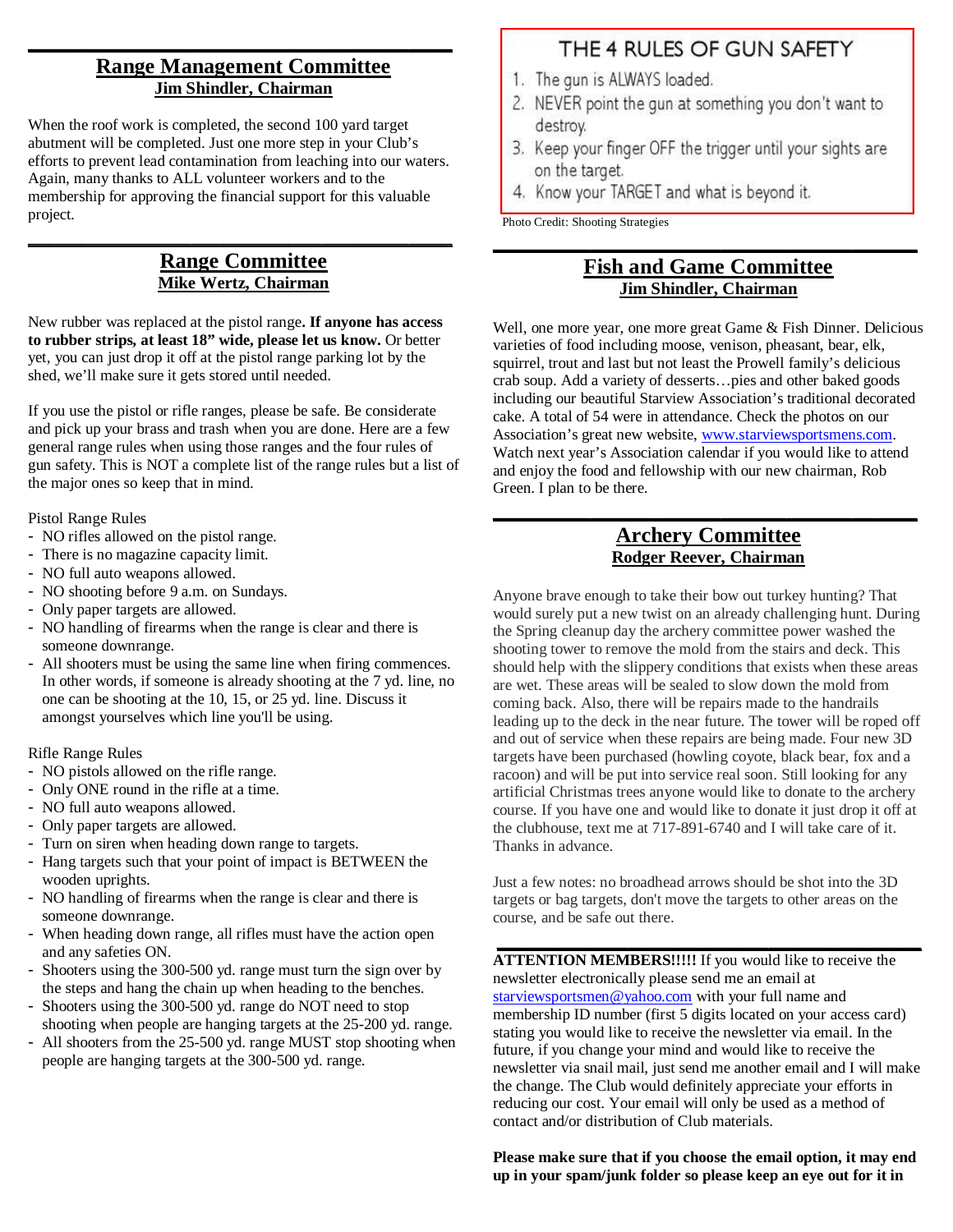## **Range Management Committee Jim Shindler, Chairman**

**\_\_\_\_\_\_\_\_\_\_\_\_\_\_\_\_\_\_\_\_\_\_\_\_\_\_\_\_\_\_\_\_\_\_\_\_\_\_\_**

When the roof work is completed, the second 100 yard target abutment will be completed. Just one more step in your Club's efforts to prevent lead contamination from leaching into our waters. Again, many thanks to ALL volunteer workers and to the membership for approving the financial support for this valuable project.

#### **Range Committee Mike Wertz, Chairman**

**\_\_\_\_\_\_\_\_\_\_\_\_\_\_\_\_\_\_\_\_\_\_\_\_\_\_\_\_\_\_\_\_\_\_\_\_\_\_\_**

New rubber was replaced at the pistol range**. If anyone has access to rubber strips, at least 18" wide, please let us know.** Or better yet, you can just drop it off at the pistol range parking lot by the shed, we'll make sure it gets stored until needed.

If you use the pistol or rifle ranges, please be safe. Be considerate and pick up your brass and trash when you are done. Here are a few general range rules when using those ranges and the four rules of gun safety. This is NOT a complete list of the range rules but a list of the major ones so keep that in mind.

Pistol Range Rules

- NO rifles allowed on the pistol range.
- There is no magazine capacity limit.
- NO full auto weapons allowed.
- NO shooting before 9 a.m. on Sundays.
- Only paper targets are allowed.
- NO handling of firearms when the range is clear and there is someone downrange.
- All shooters must be using the same line when firing commences. In other words, if someone is already shooting at the 7 yd. line, no one can be shooting at the 10, 15, or 25 yd. line. Discuss it amongst yourselves which line you'll be using.

Rifle Range Rules

- NO pistols allowed on the rifle range.
- Only ONE round in the rifle at a time.
- NO full auto weapons allowed.
- Only paper targets are allowed.
- Turn on siren when heading down range to targets.
- Hang targets such that your point of impact is BETWEEN the wooden uprights.
- NO handling of firearms when the range is clear and there is someone downrange.
- When heading down range, all rifles must have the action open and any safeties ON.
- Shooters using the 300-500 yd. range must turn the sign over by the steps and hang the chain up when heading to the benches.
- Shooters using the 300-500 yd. range do NOT need to stop shooting when people are hanging targets at the 25-200 yd. range.
- All shooters from the 25-500 yd. range MUST stop shooting when people are hanging targets at the 300-500 yd. range.

## THE 4 RULES OF GUN SAFETY

- 1. The gun is ALWAYS loaded.
- 2. NEVER point the gun at something you don't want to destroy.
- 3. Keep your finger OFF the trigger until your sights are on the target.
- 4. Know your TARGET and what is beyond it.

Photo Credit: Shooting Strategies

#### **Fish and Game Committee Jim Shindler, Chairman**

**\_\_\_\_\_\_\_\_\_\_\_\_\_\_\_\_\_\_\_\_\_\_\_\_\_\_\_\_\_\_\_\_\_\_\_\_\_\_\_**

Well, one more year, one more great Game & Fish Dinner. Delicious varieties of food including moose, venison, pheasant, bear, elk, squirrel, trout and last but not least the Prowell family's delicious crab soup. Add a variety of desserts…pies and other baked goods including our beautiful Starview Association's traditional decorated cake. A total of 54 were in attendance. Check the photos on our Association's great new website, www.starviewsportsmens.com. Watch next year's Association calendar if you would like to attend and enjoy the food and fellowship with our new chairman, Rob Green. I plan to be there.

#### **Archery Committee Rodger Reever, Chairman**

**\_\_\_\_\_\_\_\_\_\_\_\_\_\_\_\_\_\_\_\_\_\_\_\_\_\_\_\_\_\_\_\_\_\_\_\_\_\_\_**

Anyone brave enough to take their bow out turkey hunting? That would surely put a new twist on an already challenging hunt. During the Spring cleanup day the archery committee power washed the shooting tower to remove the mold from the stairs and deck. This should help with the slippery conditions that exists when these areas are wet. These areas will be sealed to slow down the mold from coming back. Also, there will be repairs made to the handrails leading up to the deck in the near future. The tower will be roped off and out of service when these repairs are being made. Four new 3D targets have been purchased (howling coyote, black bear, fox and a racoon) and will be put into service real soon. Still looking for any artificial Christmas trees anyone would like to donate to the archery course. If you have one and would like to donate it just drop it off at the clubhouse, text me at 717-891-6740 and I will take care of it. Thanks in advance.

Just a few notes: no broadhead arrows should be shot into the 3D targets or bag targets, don't move the targets to other areas on the course, and be safe out there.

**\_\_\_\_\_\_\_\_\_\_\_\_\_\_\_\_\_\_\_\_\_\_\_\_\_\_\_\_\_\_\_\_\_\_\_\_\_\_\_**

**ATTENTION MEMBERS!!!!!** If you would like to receive the newsletter electronically please send me an email at starviewsportsmen@yahoo.com with your full name and membership ID number (first 5 digits located on your access card) stating you would like to receive the newsletter via email. In the future, if you change your mind and would like to receive the newsletter via snail mail, just send me another email and I will make the change. The Club would definitely appreciate your efforts in reducing our cost. Your email will only be used as a method of contact and/or distribution of Club materials.

**Please make sure that if you choose the email option, it may end up in your spam/junk folder so please keep an eye out for it in**